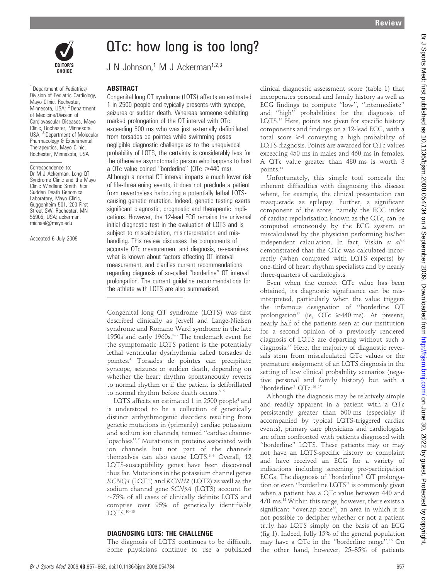

<sup>1</sup> Department of Pediatrics/ Division of Pediatric Cardiology, Mayo Clinic, Rochester, Minnesota, USA; <sup>2</sup> Department of Medicine/Division of Cardiovascular Diseases, Mayo Clinic, Rochester, Minnesota, USA; <sup>3</sup> Department of Molecular Pharmacology & Experimental Therapeutics, Mayo Clinic, Rochester, Minnesota, USA

Correspondence to: Dr M J Ackerman, Long QT Syndrome Clinic and the Mayo Clinic Windland Smith Rice Sudden Death Genomics Laboratory, Mayo Clinic, Guggenheim 501, 200 First Street SW, Rochester, MN 55905, USA; ackerman. michael@mayo.edu

Accepted 6 July 2009

# QTc: how long is too long?

J N Johnson,<sup>1</sup> M J Ackerman<sup>1,2,3</sup>

## ABSTRACT

Congenital long QT syndrome (LQTS) affects an estimated 1 in 2500 people and typically presents with syncope, seizures or sudden death. Whereas someone exhibiting marked prolongation of the QT interval with QTc exceeding 500 ms who was just externally defibrillated from torsades de pointes while swimming poses negligible diagnostic challenge as to the unequivocal probability of LQTS, the certainty is considerably less for the otherwise asymptomatic person who happens to host a QTc value coined "borderline" ( $QTC \geq 440$  ms). Although a normal QT interval imparts a much lower risk of life-threatening events, it does not preclude a patient from nevertheless harbouring a potentially lethal LQTScausing genetic mutation. Indeed, genetic testing exerts significant diagnostic, prognostic and therapeutic implications. However, the 12-lead ECG remains the universal initial diagnostic test in the evaluation of LQTS and is subject to miscalculation, misinterpretation and mishandling. This review discusses the components of accurate QTc measurement and diagnosis, re-examines what is known about factors affecting QT interval measurement, and clarifies current recommendations regarding diagnosis of so-called ''borderline'' QT interval prolongation. The current guideline recommendations for the athlete with LQTS are also summarised.

Congenital long QT syndrome (LQTS) was first described clinically as Jervell and Lange-Nielsen syndrome and Romano Ward syndrome in the late 1950s and early 1960s.<sup>1-3</sup> The trademark event for the symptomatic LQTS patient is the potentially lethal ventricular dysrhythmia called torsades de pointes.4 Torsades de pointes can precipitate syncope, seizures or sudden death, depending on whether the heart rhythm spontaneously reverts to normal rhythm or if the patient is defibrillated to normal rhythm before death occurs.<sup>56</sup>

LQTS affects an estimated 1 in 2500 people<sup>4</sup> and is understood to be a collection of genetically distinct arrhythmogenic disorders resulting from genetic mutations in (primarily) cardiac potassium and sodium ion channels, termed ''cardiac channelopathies".<sup>7</sup> Mutations in proteins associated with ion channels but not part of the channels themselves can also cause LQTS.8 9 Overall, 12 LQTS-susceptibility genes have been discovered thus far. Mutations in the potassium channel genes KCNQ1 (LQT1) and KCNH2 (LQT2) as well as the sodium channel gene SCN5A (LQT3) account for  $\sim$ 75% of all cases of clinically definite LQTS and comprise over 95% of genetically identifiable LQTS.10–13

### DIAGNOSING LQTS: THE CHALLENGE

The diagnosis of LQTS continues to be difficult. Some physicians continue to use a published clinical diagnostic assessment score (table 1) that incorporates personal and family history as well as ECG findings to compute ''low'', ''intermediate'' and ''high'' probabilities for the diagnosis of LQTS.14 Here, points are given for specific history components and findings on a 12-lead ECG, with a total score  $\geq 4$  conveying a high probability of LQTS diagnosis. Points are awarded for QTc values exceeding 450 ms in males and 460 ms in females. A QTc value greater than 480 ms is worth 3 points.<sup>14</sup>

Unfortunately, this simple tool conceals the inherent difficulties with diagnosing this disease where, for example, the clinical presentation can masquerade as epilepsy. Further, a significant component of the score, namely the ECG index of cardiac repolarisation known as the QTc, can be computed erroneously by the ECG system or miscalculated by the physician performing his/her independent calculation. In fact, Viskin et  $al^{15}$ demonstrated that the QTc was calculated incorrectly (when compared with LQTS experts) by one-third of heart rhythm specialists and by nearly three-quarters of cardiologists.

Even when the correct QTc value has been obtained, its diagnostic significance can be misinterpreted, particularly when the value triggers the infamous designation of ''borderline QT prolongation" (ie,  $\overline{QTc} \geq 440$  ms). At present, nearly half of the patients seen at our institution for a second opinion of a previously rendered diagnosis of LQTS are departing without such a diagnosis.16 Here, the majority of diagnostic reversals stem from miscalculated QTc values or the premature assignment of an LQTS diagnosis in the setting of low clinical probability scenarios (negative personal and family history) but with a "borderline" QTc.<sup>16 17</sup>

Although the diagnosis may be relatively simple and readily apparent in a patient with a QTc persistently greater than 500 ms (especially if accompanied by typical LQTS-triggered cardiac events), primary care physicians and cardiologists are often confronted with patients diagnosed with ''borderline'' LQTS. These patients may or may not have an LQTS-specific history or complaint and have received an ECG for a variety of indications including screening pre-participation ECGs. The diagnosis of ''borderline'' QT prolongation or even ''borderline LQTS'' is commonly given when a patient has a QTc value between 440 and 470 ms.18 Within this range, however, there exists a significant ''overlap zone'', an area in which it is not possible to decipher whether or not a patient truly has LQTS simply on the basis of an ECG (fig 1). Indeed, fully 15% of the general population may have a QTc in the ''borderline range''.16 On the other hand, however, 25–35% of patients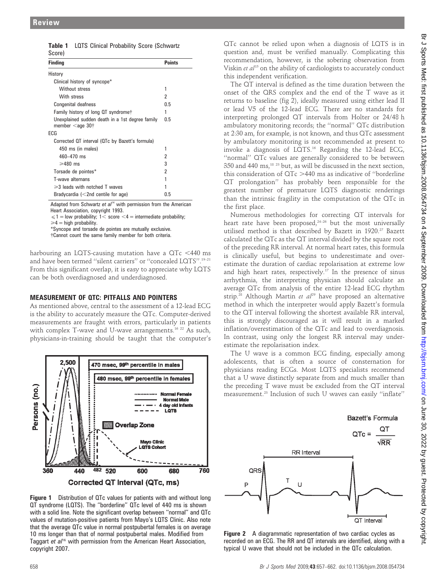|        | <b>Table 1</b> LQTS Clinical Probability Score (Schwartz |
|--------|----------------------------------------------------------|
| Score) |                                                          |

| <b>Finding</b>                                                                    | <b>Points</b> |  |
|-----------------------------------------------------------------------------------|---------------|--|
| History                                                                           |               |  |
| Clinical history of syncope*                                                      |               |  |
| Without stress                                                                    | 1             |  |
| With stress                                                                       | 2             |  |
| Congenital deafness                                                               | 0.5           |  |
| Family history of long QT syndromet                                               | 1             |  |
| Unexplained sudden death in a 1st degree family<br>member $\leq$ age 30 $\dagger$ | 0.5           |  |
| ECG                                                                               |               |  |
| Corrected QT interval (QTc by Bazett's formula)                                   |               |  |
| 450 ms (in males)                                                                 | 1             |  |
| $460 - 470$ ms                                                                    | 2             |  |
| $\geq 480$ ms                                                                     | 3             |  |
| Torsade de pointes*                                                               | 2             |  |
| T-wave alternans                                                                  | 1             |  |
| $\geq 3$ leads with notched T waves                                               |               |  |
| Bradycardia $\left($ < 2nd centile for age)                                       | 0.5           |  |

Adapted from Schwartz et  $al<sup>14</sup>$  with permission from the American Heart Association, copyright 1993.

 $\leq 1$  = low probability; 1< score <4 = intermediate probability;  $\geq 4$  = high probability.

\*Syncope and torsade de pointes are mutually exclusive. {Cannot count the same family member for both criteria.

harbouring an LQTS-causing mutation have a  $QTc < 440$  ms and have been termed "silent carriers" or "concealed LQTS".<sup>19-21</sup> From this significant overlap, it is easy to appreciate why LQTS can be both overdiagnosed and underdiagnosed.

# MEASUREMENT OF QTC: PITFALLS AND POINTERS

As mentioned above, central to the assessment of a 12-lead ECG is the ability to accurately measure the QTc. Computer-derived measurements are fraught with errors, particularly in patients with complex T-wave and U-wave arrangements.<sup>16 22</sup> As such, physicians-in-training should be taught that the computer's



Figure 1 Distribution of QTc values for patients with and without long QT syndrome (LQTS). The ''borderline'' QTc level of 440 ms is shown with a solid line. Note the significant overlap between ''normal'' and QTc values of mutation-positive patients from Mayo's LQTS Clinic. Also note that the average QTc value in normal postpubertal females is on average 10 ms longer than that of normal postpubertal males. Modified from Taggart et al<sup>16</sup> with permission from the American Heart Association, copyright 2007.

QTc cannot be relied upon when a diagnosis of LQTS is in question and, must be verified manually. Complicating this recommendation, however, is the sobering observation from Viskin et al<sup>15</sup> on the ability of cardiologists to accurately conduct this independent verification.

The QT interval is defined as the time duration between the onset of the QRS complex and the end of the T wave as it returns to baseline (fig 2), ideally measured using either lead II or lead V5 of the 12-lead ECG. There are no standards for interpreting prolonged QT intervals from Holter or 24/48 h ambulatory monitoring records; the ''normal'' QTc distribution at 2:30 am, for example, is not known, and thus QTc assessment by ambulatory monitoring is not recommended at present to invoke a diagnosis of LQTS.16 Regarding the 12-lead ECG, ''normal'' QTc values are generally considered to be between 350 and 440 ms,<sup>18 23</sup> but, as will be discussed in the next section, this consideration of  $QTc > 440$  ms as indicative of "borderline QT prolongation'' has probably been responsible for the greatest number of premature LQTS diagnostic renderings than the intrinsic fragility in the computation of the QTc in the first place.

Numerous methodologies for correcting QT intervals for heart rate have been proposed.<sup>24-26</sup> but the most universally utilised method is that described by Bazett in 1920.<sup>27</sup> Bazett calculated the QTc as the QT interval divided by the square root of the preceding RR interval. At normal heart rates, this formula is clinically useful, but begins to underestimate and overestimate the duration of cardiac repolarisation at extreme low and high heart rates, respectively.<sup>17</sup> In the presence of sinus arrhythmia, the interpreting physician should calculate an average QTc from analysis of the entire 12-lead ECG rhythm strip.<sup>28</sup> Although Martin et  $a^{29}$  have proposed an alternative method in which the interpreter would apply Bazett's formula to the QT interval following the shortest available RR interval, this is strongly discouraged as it will result in a marked inflation/overestimation of the QTc and lead to overdiagnosis. In contrast, using only the longest RR interval may underestimate the repolarisation index.

The U wave is a common ECG finding, especially among adolescents, that is often a source of consternation for physicians reading ECGs. Most LQTS specialists recommend that a U wave distinctly separate from and much smaller than the preceding T wave must be excluded from the QT interval measurement.23 Inclusion of such U waves can easily ''inflate''



Figure 2 A diagrammatic representation of two cardiac cycles as recorded on an ECG. The RR and QT intervals are identified, along with a typical U wave that should not be included in the QTc calculation.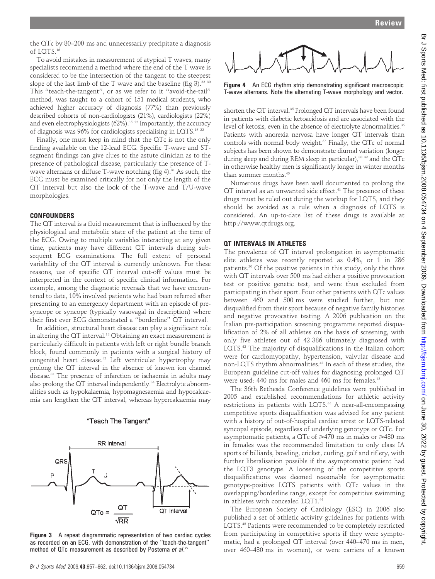the QTc by 80–200 ms and unnecessarily precipitate a diagnosis of LOTS $16$ 

To avoid mistakes in measurement of atypical T waves, many specialists recommend a method where the end of the T wave is considered to be the intersection of the tangent to the steepest slope of the last limb of the T wave and the baseline (fig 3).<sup>22 30</sup> This ''teach-the-tangent'', or as we refer to it ''avoid-the-tail'' method, was taught to a cohort of 151 medical students, who achieved higher accuracy of diagnosis (77%) than previously described cohorts of non-cardiologists (21%), cardiologists (22%) and even electrophysiologists  $(62\%)$ .<sup>15 22</sup> Importantly, the accuracy of diagnosis was 96% for cardiologists specialising in LQTS.15 22

Finally, one must keep in mind that the QTc is not the only finding available on the 12-lead ECG. Specific T-wave and STsegment findings can give clues to the astute clinician as to the presence of pathological disease, particularly the presence of Twave alternans or diffuse  $T$ -wave notching (fig 4).<sup>31</sup> As such, the ECG must be examined critically for not only the length of the QT interval but also the look of the T-wave and T/U-wave morphologies.

#### **CONFOUNDERS**

The QT interval is a fluid measurement that is influenced by the physiological and metabolic state of the patient at the time of the ECG. Owing to multiple variables interacting at any given time, patients may have different QT intervals during subsequent ECG examinations. The full extent of personal variability of the QT interval is currently unknown. For these reasons, use of specific QT interval cut-off values must be interpreted in the context of specific clinical information. For example, among the diagnostic reversals that we have encountered to date, 10% involved patients who had been referred after presenting to an emergency department with an episode of presyncope or syncope (typically vasovagal in description) where their first ever ECG demonstrated a ''borderline'' QT interval.

In addition, structural heart disease can play a significant role in altering the QT interval.<sup>18</sup> Obtaining an exact measurement is particularly difficult in patients with left or right bundle branch block, found commonly in patients with a surgical history of congenital heart disease.<sup>32</sup> Left ventricular hypertrophy may prolong the QT interval in the absence of known ion channel disease.33 The presence of infarction or ischaemia in adults may also prolong the QT interval independently.<sup>34</sup> Electrolyte abnormalities such as hypokalaemia, hypomagnesaemia and hypocalcaemia can lengthen the QT interval, whereas hypercalcaemia may

#### "Teach The Tangent"



Figure 3 A repeat diagrammatic representation of two cardiac cycles as recorded on an ECG, with demonstration of the ''teach-the-tangent'' method of QTc measurement as described by Postema et al.<sup>22</sup>





Figure 4 An ECG rhythm strip demonstrating significant macroscopic T-wave alternans. Note the alternating T-wave morphology and vector.

shorten the QT interval.35 Prolonged QT intervals have been found in patients with diabetic ketoacidosis and are associated with the level of ketosis, even in the absence of electrolyte abnormalities.<sup>36</sup> Patients with anorexia nervosa have longer QT intervals than controls with normal body weight.37 Finally, the QTc of normal subjects has been shown to demonstrate diurnal variation (longer during sleep and during REM sleep in particular),<sup>38 39</sup> and the QTc in otherwise healthy men is significantly longer in winter months than summer months.<sup>40</sup>

Numerous drugs have been well documented to prolong the QT interval as an unwanted side effect.<sup>41</sup> The presence of these drugs must be ruled out during the workup for LQTS, and they should be avoided as a rule when a diagnosis of LQTS is considered. An up-to-date list of these drugs is available at http://www.qtdrugs.org.

## QT INTERVALS IN ATHLETES

The prevalence of QT interval prolongation in asymptomatic elite athletes was recently reported as 0.4%, or 1 in 286 patients.30 Of the positive patients in this study, only the three with QT intervals over 500 ms had either a positive provocation test or positive genetic test, and were thus excluded from participating in their sport. Four other patients with QTc values between 460 and 500 ms were studied further, but not disqualified from their sport because of negative family histories and negative provocative testing. A 2006 publication on the Italian pre-participation screening programme reported disqualification of 2% of all athletes on the basis of screening, with only five athletes out of 42 386 ultimately diagnosed with LQTS.42 The majority of disqualifications in the Italian cohort were for cardiomyopathy, hypertension, valvular disease and non-LQTS rhythm abnormalities.<sup>42</sup> In each of these studies, the European guideline cut-off values for diagnosing prolonged QT were used: 440 ms for males and 460 ms for females.<sup>43</sup>

The 36th Bethesda Conference guidelines were published in 2005 and established recommendations for athletic activity restrictions in patients with LQTS.44 A near-all-encompassing competitive sports disqualification was advised for any patient with a history of out-of-hospital cardiac arrest or LQTS-related syncopal episode, regardless of underlying genotype or QTc. For asymptomatic patients, a QTc of  $\geq$ 470 ms in males or  $\geq$ 480 ms in females was the recommended limitation to only class IA sports of billiards, bowling, cricket, curling, golf and riflery, with further liberalisation possible if the asymptomatic patient had the LQT3 genotype. A loosening of the competitive sports disqualifications was deemed reasonable for asymptomatic genotype-positive LQTS patients with QTc values in the overlapping/borderline range, except for competitive swimming in athletes with concealed LQT1.44

The European Society of Cardiology (ESC) in 2006 also published a set of athletic activity guidelines for patients with LQTS.45 Patients were recommended to be completely restricted from participating in competitive sports if they were symptomatic, had a prolonged QT interval (over 440–470 ms in men, over 460–480 ms in women), or were carriers of a known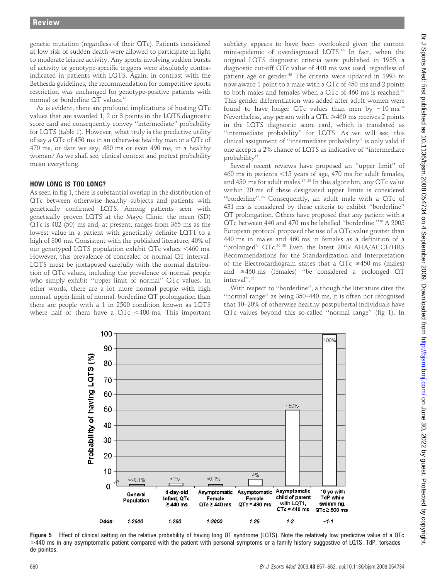genetic mutation (regardless of their QTc). Patients considered at low risk of sudden death were allowed to participate in light to moderate leisure activity. Any sports involving sudden bursts of activity or genotype-specific triggers were absolutely contraindicated in patients with LQTS. Again, in contrast with the Bethesda guidelines, the recommendation for competitive sports restriction was unchanged for genotype-positive patients with normal or borderline QT values.45

As is evident, there are profound implications of hosting QTc values that are awarded 1, 2 or 3 points in the LQTS diagnostic score card and consequently convey ''intermediate'' probability for LQTS (table 1). However, what truly is the predictive utility of say a QTc of 450 ms in an otherwise healthy man or a QTc of 470 ms, or dare we say, 480 ms or even 490 ms, in a healthy woman? As we shall see, clinical context and pretest probability mean everything.

#### HOW LONG IS TOO LONG?

As seen in fig 1, there is substantial overlap in the distribution of QTc between otherwise healthy subjects and patients with genetically confirmed LQTS. Among patients seen with genetically proven LQTS at the Mayo Clinic, the mean (SD) QTc is 482 (50) ms and, at present, ranges from 365 ms as the lowest value in a patient with genetically definite LQT1 to a high of 800 ms. Consistent with the published literature, 40% of our genotyped LQTS population exhibit  $QTc$  values  $<460$  ms. However, this prevalence of concealed or normal QT interval-LQTS must be juxtaposed carefully with the normal distribution of QTc values, including the prevalence of normal people who simply exhibit ''upper limit of normal'' QTc values. In other words, there are a lot more normal people with high normal, upper limit of normal, borderline QT prolongation than there are people with a 1 in 2500 condition known as LQTS where half of them have a  $QTc$  <480 ms. This important

subtlety appears to have been overlooked given the current mini-epidemic of overdiagnosed LQTS.16 In fact, when the original LQTS diagnostic criteria were published in 1985, a diagnostic cut-off QTc value of 440 ms was used, regardless of patient age or gender.<sup>46</sup> The criteria were updated in 1993 to now award 1 point to a male with a QTc of 450 ms and 2 points to both males and females when a QTc of 460 ms is reached.14 This gender differentiation was added after adult women were found to have longer QTc values than men by  $\sim$ 10 ms.<sup>47</sup> Nevertheless, any person with a  $QTc \ge 460$  ms receives 2 points in the LQTS diagnostic score card, which is translated as ''intermediate probability'' for LQTS. As we will see, this clinical assignment of ''intermediate probability'' is only valid if one accepts a 2% chance of LQTS as indicative of ''intermediate probability''.

Several recent reviews have proposed an ''upper limit'' of 460 ms in patients  $<$ 15 years of age, 470 ms for adult females, and 450 ms for adult males.17 23 In this algorithm, any QTc value within 20 ms of these designated upper limits is considered ''borderline''.23 Consequently, an adult male with a QTc of 431 ms is considered by these criteria to exhibit ''borderline'' QT prolongation. Others have proposed that any patient with a QTc between 440 and 470 ms be labelled ''borderline.''18 A 2005 European protocol proposed the use of a QTc value greater than 440 ms in males and 460 ms in females as a definition of a "prolonged" QTc.<sup>30 43</sup> Even the latest 2009 AHA/ACCF/HRS Recommendations for the Standardization and Interpretation of the Electrocardiogram states that a  $QTc \geq 450$  ms (males) and  $\geq 460$  ms (females) "be considered a prolonged QT interval''.48

With respect to ''borderline'', although the literature cites the ''normal range'' as being 350–440 ms, it is often not recognised that 10–20% of otherwise healthy postpubertal individuals have QTc values beyond this so-called ''normal range'' (fig 1). In



Figure 5 Effect of clinical setting on the relative probability of having long QT syndrome (LQTS). Note the relatively low predictive value of a QTc .440 ms in any asymptomatic patient compared with the patient with personal symptoms or a family history suggestive of LQTS. TdP, torsades de pointes.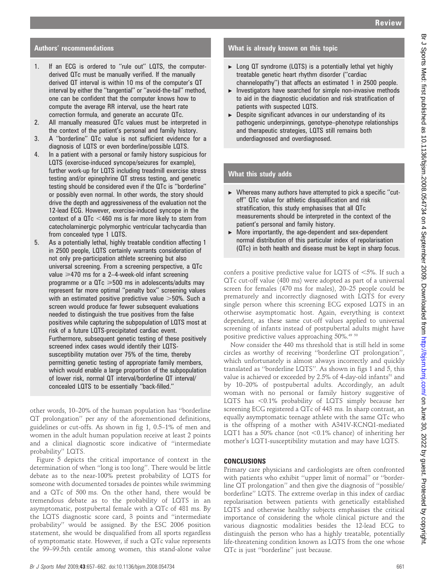# Authors' recommendations

- 1. If an ECG is ordered to ''rule out'' LQTS, the computerderived QTc must be manually verified. If the manually derived QT interval is within 10 ms of the computer's QT interval by either the ''tangential'' or ''avoid-the-tail'' method, one can be confident that the computer knows how to compute the average RR interval, use the heart rate correction formula, and generate an accurate QTc.
- 2. All manually measured QTc values must be interpreted in the context of the patient's personal and family history.
- 3. A ''borderline'' QTc value is not sufficient evidence for a diagnosis of LQTS or even borderline/possible LQTS.
- 4. In a patient with a personal or family history suspicious for LQTS (exercise-induced syncope/seizures for example), further work-up for LQTS including treadmill exercise stress testing and/or epinephrine QT stress testing, and genetic testing should be considered even if the QTc is ''borderline'' or possibly even normal. In other words, the story should drive the depth and aggressiveness of the evaluation not the 12-lead ECG. However, exercise-induced syncope in the context of a  $QTc < 460$  ms is far more likely to stem from catecholaminergic polymorphic ventricular tachycardia than from concealed type 1 LQTS.
- 5. As a potentially lethal, highly treatable condition affecting 1 in 2500 people, LQTS certainly warrants consideration of not only pre-participation athlete screening but also universal screening. From a screening perspective, a QTc value  $\geq$ 470 ms for a 2-4-week-old infant screening programme or a  $QTc \geq 500$  ms in adolescents/adults may represent far more optimal ''penalty box'' screening values with an estimated positive predictive value  $>50\%$ . Such a screen would produce far fewer subsequent evaluations needed to distinguish the true positives from the false positives while capturing the subpopulation of LQTS most at risk of a future LQTS-precipitated cardiac event. Furthermore, subsequent genetic testing of these positively screened index cases would identify their LQTSsusceptibility mutation over 75% of the time, thereby permitting genetic testing of appropriate family members, which would enable a large proportion of the subpopulation of lower risk, normal QT interval/borderline QT interval/ concealed LQTS to be essentially ''back-filled.''

other words, 10–20% of the human population has ''borderline QT prolongation'' per any of the aforementioned definitions, guidelines or cut-offs. As shown in fig 1, 0.5–1% of men and women in the adult human population receive at least 2 points and a clinical diagnostic score indicative of ''intermediate probability'' LQTS.

Figure 5 depicts the critical importance of context in the determination of when ''long is too long''. There would be little debate as to the near-100% pretest probability of LQTS for someone with documented torsades de pointes while swimming and a QTc of 500 ms. On the other hand, there would be tremendous debate as to the probability of LQTS in an asymptomatic, postpubertal female with a QTc of 481 ms. By the LQTS diagnostic score card, 3 points and ''intermediate probability'' would be assigned. By the ESC 2006 position statement, she would be disqualified from all sports regardless of symptomatic state. However, if such a QTc value represents the 99–99.5th centile among women, this stand-alone value

# What is already known on this topic

- $\triangleright$  Long QT syndrome (LQTS) is a potentially lethal yet highly treatable genetic heart rhythm disorder (''cardiac channelopathy'') that affects an estimated 1 in 2500 people.
- $\blacktriangleright$  Investigators have searched for simple non-invasive methods to aid in the diagnostic elucidation and risk stratification of patients with suspected LQTS.
- $\triangleright$  Despite significant advances in our understanding of its pathogenic underpinnings, genotype–phenotype relationships and therapeutic strategies, LQTS still remains both underdiagnosed and overdiagnosed.

### What this study adds

- $\triangleright$  Whereas many authors have attempted to pick a specific "cutoff'' QTc value for athletic disqualification and risk stratification, this study emphasises that all QTc measurements should be interpreted in the context of the patient's personal and family history.
- $\triangleright$  More importantly, the age-dependent and sex-dependent normal distribution of this particular index of repolarisation (QTc) in both health and disease must be kept in sharp focus.

confers a positive predictive value for LQTS of  $<5\%$ . If such a QTc cut-off value (480 ms) were adopted as part of a universal screen for females (470 ms for males), 20–25 people could be prematurely and incorrectly diagnosed with LQTS for every single person where this screening ECG exposed LQTS in an otherwise asymptomatic host. Again, everything is context dependent, as these same cut-off values applied to universal screening of infants instead of postpubertal adults might have positive predictive values approaching 50%.<sup>49 50</sup>

Now consider the 440 ms threshold that is still held in some circles as worthy of receiving ''borderline QT prolongation'', which unfortunately is almost always incorrectly and quickly translated as ''borderline LQTS''. As shown in figs 1 and 5, this value is achieved or exceeded by 2.5% of 4-day-old infants<sup>51</sup> and by 10–20% of postpubertal adults. Accordingly, an adult woman with no personal or family history suggestive of LQTS has  $< 0.1\%$  probability of LQTS simply because her screening ECG registered a QTc of 443 ms. In sharp contrast, an equally asymptomatic teenage athlete with the same QTc who is the offspring of a mother with A341V-KCNQ1-mediated LQT1 has a 50% chance (not  $< 0.1$ % chance) of inheriting her mother's LQT1-susceptibility mutation and may have LQTS.

### CONCLUSIONS

Primary care physicians and cardiologists are often confronted with patients who exhibit ''upper limit of normal'' or ''borderline QT prolongation'' and then give the diagnosis of ''possible/ borderline'' LQTS. The extreme overlap in this index of cardiac repolarisation between patients with genetically established LQTS and otherwise healthy subjects emphasises the critical importance of considering the whole clinical picture and the various diagnostic modalities besides the 12-lead ECG to distinguish the person who has a highly treatable, potentially life-threatening condition known as LQTS from the one whose QTc is just ''borderline'' just because.